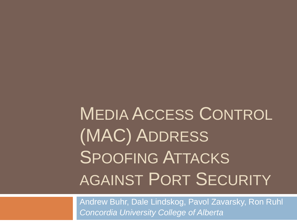MEDIA ACCESS CONTROL (MAC) ADDRESS SPOOFING ATTACKS AGAINST PORT SECURITY

Andrew Buhr, Dale Lindskog, Pavol Zavarsky, Ron Ruhl *Concordia University College of Alberta*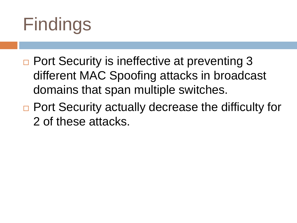# Findings

- □ Port Security is ineffective at preventing 3 different MAC Spoofing attacks in broadcast domains that span multiple switches.
- □ Port Security actually decrease the difficulty for 2 of these attacks.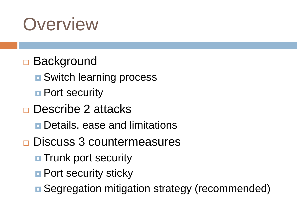## **Overview**

#### □ Background

- **<u>n</u>** Switch learning process
- **Port security**
- □ Describe 2 attacks
	- **D** Details, ease and limitations
- **□ Discuss 3 countermeasures** 
	- **The Trunk port security**
	- **Port security sticky**
	- **□ Segregation mitigation strategy (recommended)**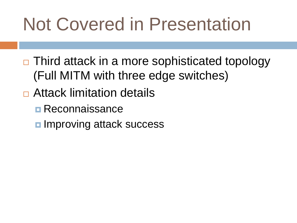# Not Covered in Presentation

- $\Box$  Third attack in a more sophisticated topology (Full MITM with three edge switches)
- Attack limitation details
	- **Reconnaissance**
	- **<u>n</u>** Improving attack success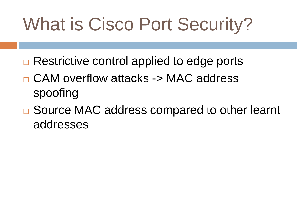# What is Cisco Port Security?

- $\Box$  Restrictive control applied to edge ports
- □ CAM overflow attacks -> MAC address spoofing
- □ Source MAC address compared to other learnt addresses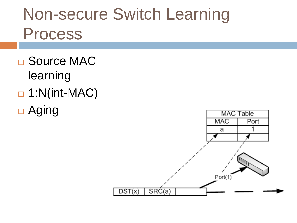### Non-secure Switch Learning Process

- □ Source MAC learning
- $\Box$  1:N(int-MAC)
- □ Aging

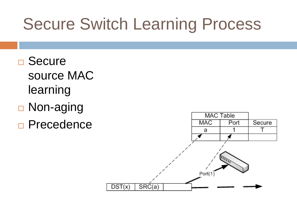### Secure Switch Learning Process

- □ Secure source MAC learning
- □ Non-aging
- **Precedence**

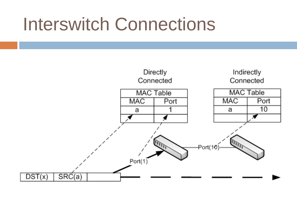## Interswitch Connections

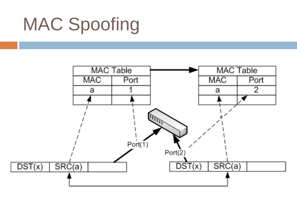# MAC Spoofing

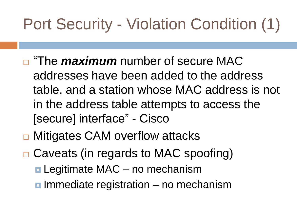## Port Security - Violation Condition (1)

- **<u>n</u>** "The *maximum* number of secure MAC addresses have been added to the address table, and a station whose MAC address is not in the address table attempts to access the [secure] interface" - Cisco
- **□ Mitigates CAM overflow attacks**
- □ Caveats (in regards to MAC spoofing)
	- **□ Legitimate MAC** no mechanism
	- $\blacksquare$  Immediate registration no mechanism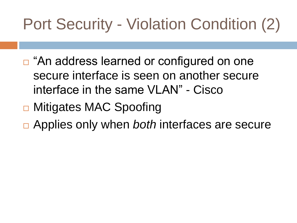## Port Security - Violation Condition (2)

- □ "An address learned or configured on one secure interface is seen on another secure interface in the same VLAN" - Cisco
- **□ Mitigates MAC Spoofing**
- Applies only when *both* interfaces are secure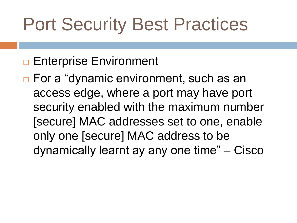# Port Security Best Practices

#### **Enterprise Environment**

□ For a "dynamic environment, such as an access edge, where a port may have port security enabled with the maximum number [secure] MAC addresses set to one, enable only one [secure] MAC address to be dynamically learnt ay any one time" – Cisco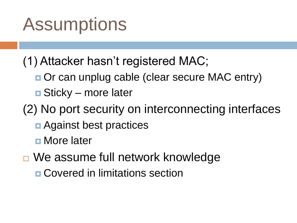## **Assumptions**

(1) Attacker hasn't registered MAC;

- **Or can unplug cable (clear secure MAC entry)**
- **□** Sticky more later

(2) No port security on interconnecting interfaces

**□** Against best practices

**<u>n</u>** More later

□ We assume full network knowledge

**E** Covered in limitations section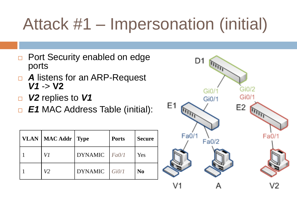## Attack #1 – Impersonation (initial)

- □ Port Security enabled on edge ports
- *A* listens for an ARP-Request *V1* -> **V2**
- *V2* replies to *V1*
- *E1* MAC Address Table (initial):

| VLAN   MAC Addr   Type |                | <b>Ports</b> | <b>Secure</b>  |
|------------------------|----------------|--------------|----------------|
| V1                     | <b>DYNAMIC</b> | Fa0/1        | Yes            |
| V2                     | <b>DYNAMIC</b> | Gi0/1        | N <sub>0</sub> |

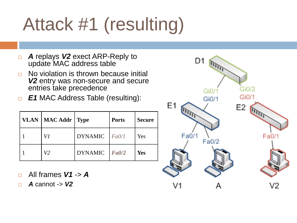# Attack #1 (resulting)

- *A* replays *V2* exect ARP-Reply to update MAC address table
- □ No violation is thrown because initial *V2* entry was non-secure and secure entries take precedence
- *E1* MAC Address Table (resulting):

| <b>VLAN</b> | $\vert$ MAC Addr | $\vert$ Type   | <b>Ports</b> | <b>Secure</b> |
|-------------|------------------|----------------|--------------|---------------|
|             | V1               | <b>DYNAMIC</b> | Fa0/1        | Yes           |
|             | V2               | <b>DYNAMIC</b> | FA0/2        | <b>Yes</b>    |

- All frames *V1* -> *A*
- *A* cannot -> *V2*

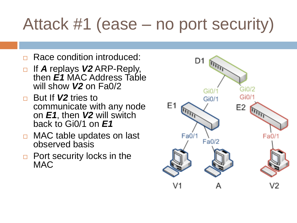## Attack #1 (ease – no port security)

- Race condition introduced:
- □ If **A** replays **V2** ARP-Reply, then *E1* MAC Address Table will show *V2* on Fa0/2
- □ But If **V2** tries to communicate with any node on *E1*, then *V2* will switch back to Gi0/1 on *E1*
- □ MAC table updates on last observed basis
- $\Box$  Port security locks in the **MAC**

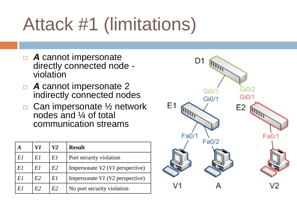# Attack #1 (limitations)

- *A* cannot impersonate directly connected node violation
- *A* cannot impersonate 2 indirectly connected nodes
- $\Box$  Can impersonate  $\frac{1}{2}$  network nodes and ¼ of total communication streams

|    | V1 | V2             | <b>Result</b>                        |
|----|----|----------------|--------------------------------------|
| E1 | E1 | E1             | Port security violation              |
| E1 | E1 | E2             | Impersonate V2 (V1 perspective)      |
| E1 | E2 | E1             | Impersonate $VI$ ( $V2$ perspective) |
|    | E2 | E <sub>2</sub> | No port security violation           |

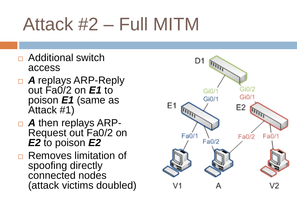# Attack #2 – Full MITM

- □ Additional switch access
- *A* replays ARP-Reply out Fa0/2 on *E1* to poison *E1* (same as Attack #1)
- *A* then replays ARP-Request out Fa0/2 on *E2* to poison *E2*
- **□ Removes limitation of** spoofing directly connected nodes (attack victims doubled)

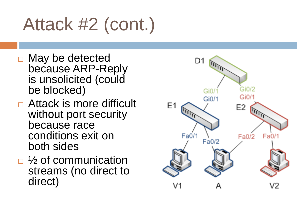# Attack #2 (cont.)

- □ May be detected because ARP-Reply is unsolicited (could be blocked)
- □ Attack is more difficult without port security because race conditions exit on both sides
- $\Box$  % of communication streams (no direct to direct)

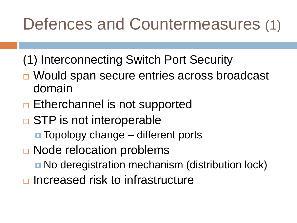### Defences and Countermeasures (1)

- (1) Interconnecting Switch Port Security
- □ Would span secure entries across broadcast domain
- $\Box$  Etherchannel is not supported
- **□ STP is not interoperable** 
	- $\blacksquare$  Topology change different ports
- **□ Node relocation problems** 
	- **No deregistration mechanism (distribution lock)**
- $\Box$  Increased risk to infrastructure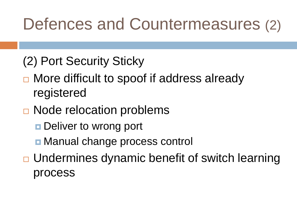#### Defences and Countermeasures (2)

- (2) Port Security Sticky
- □ More difficult to spoof if address already registered
- **□ Node relocation problems** 
	- **Deliver to wrong port**
	- Manual change process control
- □ Undermines dynamic benefit of switch learning process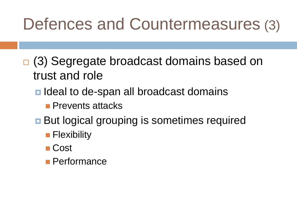#### Defences and Countermeasures (3)

- □ (3) Segregate broadcast domains based on trust and role
	- Ideal to de-span all broadcast domains
		- **Prevents attacks**
	- **But logical grouping is sometimes required** 
		- **Flexibility**
		- Cost
		- Performance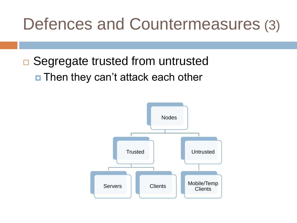#### Defences and Countermeasures (3)

**□ Segregate trusted from untrusted** ■ Then they can't attack each other